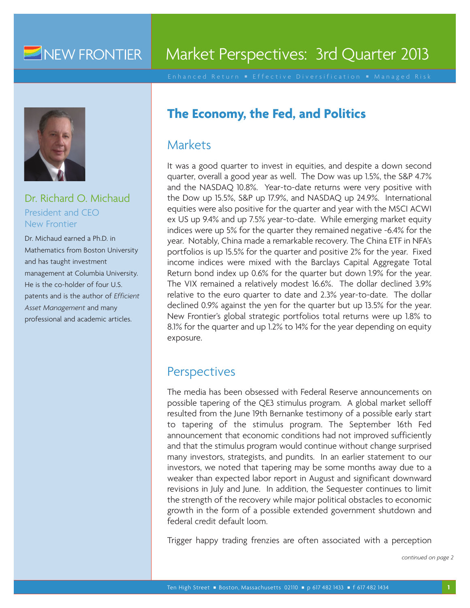# NEW FRONTIER

# Market Perspectives: 3rd Quarter 2013



Dr. Richard O. Michaud President and CEO New Frontier

Dr. Michaud earned a Ph.D. in Mathematics from Boston University and has taught investment management at Columbia University. He is the co-holder of four U.S. patents and is the author of *Efficient Asset Management* and many professional and academic articles.

# **The Economy, the Fed, and Politics**

## **Markets**

It was a good quarter to invest in equities, and despite a down second quarter, overall a good year as well. The Dow was up 1.5%, the S&P 4.7% and the NASDAQ 10.8%. Year-to-date returns were very positive with the Dow up 15.5%, S&P up 17.9%, and NASDAQ up 24.9%. International equities were also positive for the quarter and year with the MSCI ACWI ex US up 9.4% and up 7.5% year-to-date. While emerging market equity indices were up 5% for the quarter they remained negative -6.4% for the year. Notably, China made a remarkable recovery. The China ETF in NFA's portfolios is up 15.5% for the quarter and positive 2% for the year. Fixed income indices were mixed with the Barclays Capital Aggregate Total Return bond index up 0.6% for the quarter but down 1.9% for the year. The VIX remained a relatively modest 16.6%. The dollar declined 3.9% relative to the euro quarter to date and 2.3% year-to-date. The dollar declined 0.9% against the yen for the quarter but up 13.5% for the year. New Frontier's global strategic portfolios total returns were up 1.8% to 8.1% for the quarter and up 1.2% to 14% for the year depending on equity exposure.

# **Perspectives**

The media has been obsessed with Federal Reserve announcements on possible tapering of the QE3 stimulus program. A global market selloff resulted from the June 19th Bernanke testimony of a possible early start to tapering of the stimulus program. The September 16th Fed announcement that economic conditions had not improved sufficiently and that the stimulus program would continue without change surprised many investors, strategists, and pundits. In an earlier statement to our investors, we noted that tapering may be some months away due to a weaker than expected labor report in August and significant downward revisions in July and June. In addition, the Sequester continues to limit the strength of the recovery while major political obstacles to economic growth in the form of a possible extended government shutdown and federal credit default loom.

Trigger happy trading frenzies are often associated with a perception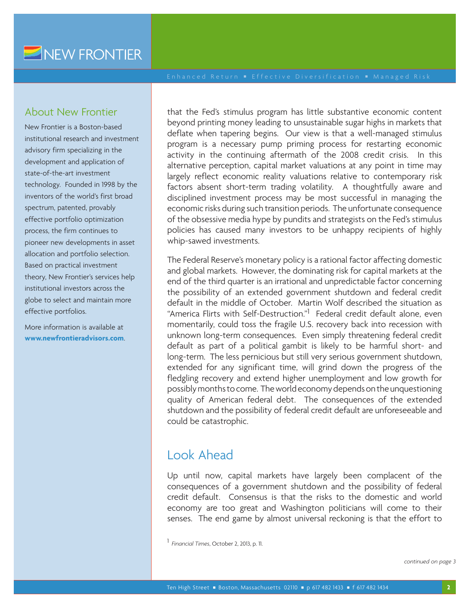#### About New Frontier

New Frontier is a Boston-based institutional research and investment advisory firm specializing in the development and application of state-of-the-art investment technology. Founded in 1998 by the inventors of the world's first broad spectrum, patented, provably effective portfolio optimization process, the firm continues to pioneer new developments in asset allocation and portfolio selection. Based on practical investment theory, New Frontier's services help institutional investors across the globe to select and maintain more effective portfolios.

More information is available at **www.newfrontieradvisors.com**. that the Fed's stimulus program has little substantive economic content beyond printing money leading to unsustainable sugar highs in markets that deflate when tapering begins. Our view is that a well-managed stimulus program is a necessary pump priming process for restarting economic activity in the continuing aftermath of the 2008 credit crisis. In this alternative perception, capital market valuations at any point in time may largely reflect economic reality valuations relative to contemporary risk factors absent short-term trading volatility. A thoughtfully aware and disciplined investment process may be most successful in managing the economic risks during such transition periods. The unfortunate consequence of the obsessive media hype by pundits and strategists on the Fed's stimulus policies has caused many investors to be unhappy recipients of highly whip-sawed investments.

The Federal Reserve's monetary policy is a rational factor affecting domestic and global markets. However, the dominating risk for capital markets at the end of the third quarter is an irrational and unpredictable factor concerning the possibility of an extended government shutdown and federal credit default in the middle of October. Martin Wolf described the situation as "America Flirts with Self-Destruction."<sup>1</sup> Federal credit default alone, even momentarily, could toss the fragile U.S. recovery back into recession with unknown long-term consequences. Even simply threatening federal credit default as part of a political gambit is likely to be harmful short- and long-term. The less pernicious but still very serious government shutdown, extended for any significant time, will grind down the progress of the fledgling recovery and extend higher unemployment and low growth for possibly months to come. The world economy depends on the unquestioning quality of American federal debt. The consequences of the extended shutdown and the possibility of federal credit default are unforeseeable and could be catastrophic.

# Look Ahead

Up until now, capital markets have largely been complacent of the consequences of a government shutdown and the possibility of federal credit default. Consensus is that the risks to the domestic and world economy are too great and Washington politicians will come to their senses. The end game by almost universal reckoning is that the effort to

1 *Financial Times*, October 2, 2013, p. 11.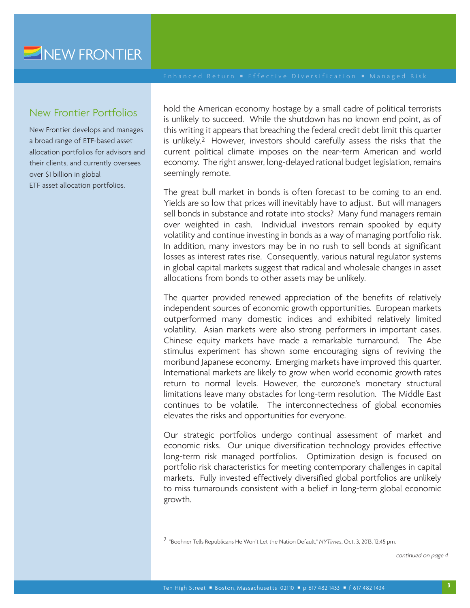### New Frontier Portfolios

New Frontier develops and manages a broad range of ETF-based asset allocation portfolios for advisors and their clients, and currently oversees over \$1 billion in global ETF asset allocation portfolios.

hold the American economy hostage by a small cadre of political terrorists is unlikely to succeed. While the shutdown has no known end point, as of this writing it appears that breaching the federal credit debt limit this quarter is unlikely.2 However, investors should carefully assess the risks that the current political climate imposes on the near-term American and world economy. The right answer, long-delayed rational budget legislation, remains seemingly remote.

The great bull market in bonds is often forecast to be coming to an end. Yields are so low that prices will inevitably have to adjust. But will managers sell bonds in substance and rotate into stocks? Many fund managers remain over weighted in cash. Individual investors remain spooked by equity volatility and continue investing in bonds as a way of managing portfolio risk. In addition, many investors may be in no rush to sell bonds at significant losses as interest rates rise. Consequently, various natural regulator systems in global capital markets suggest that radical and wholesale changes in asset allocations from bonds to other assets may be unlikely.

The quarter provided renewed appreciation of the benefits of relatively independent sources of economic growth opportunities. European markets outperformed many domestic indices and exhibited relatively limited volatility. Asian markets were also strong performers in important cases. Chinese equity markets have made a remarkable turnaround. The Abe stimulus experiment has shown some encouraging signs of reviving the moribund Japanese economy. Emerging markets have improved this quarter. International markets are likely to grow when world economic growth rates return to normal levels. However, the eurozone's monetary structural limitations leave many obstacles for long-term resolution. The Middle East continues to be volatile. The interconnectedness of global economies elevates the risks and opportunities for everyone.

Our strategic portfolios undergo continual assessment of market and economic risks. Our unique diversification technology provides effective long-term risk managed portfolios. Optimization design is focused on portfolio risk characteristics for meeting contemporary challenges in capital markets. Fully invested effectively diversified global portfolios are unlikely to miss turnarounds consistent with a belief in long-term global economic growth.

2 "Boehner Tells Republicans He Won't Let the Nation Default," *NYTimes*, Oct. 3, 2013, 12:45 pm.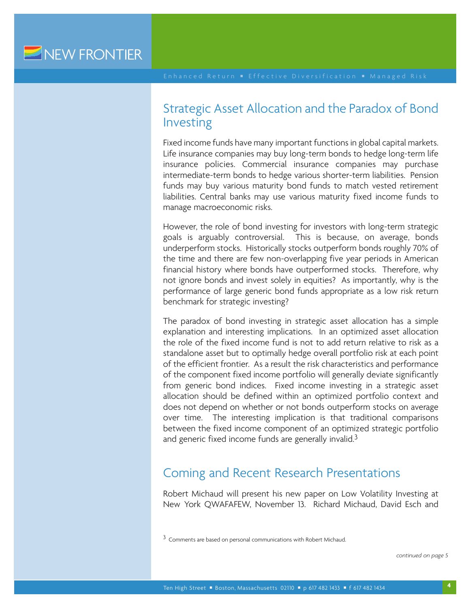# Strategic Asset Allocation and the Paradox of Bond Investing

Fixed income funds have many important functions in global capital markets. Life insurance companies may buy long-term bonds to hedge long-term life insurance policies. Commercial insurance companies may purchase intermediate-term bonds to hedge various shorter-term liabilities. Pension funds may buy various maturity bond funds to match vested retirement liabilities. Central banks may use various maturity fixed income funds to manage macroeconomic risks.

However, the role of bond investing for investors with long-term strategic goals is arguably controversial. This is because, on average, bonds underperform stocks. Historically stocks outperform bonds roughly 70% of the time and there are few non-overlapping five year periods in American financial history where bonds have outperformed stocks. Therefore, why not ignore bonds and invest solely in equities? As importantly, why is the performance of large generic bond funds appropriate as a low risk return benchmark for strategic investing?

The paradox of bond investing in strategic asset allocation has a simple explanation and interesting implications. In an optimized asset allocation the role of the fixed income fund is not to add return relative to risk as a standalone asset but to optimally hedge overall portfolio risk at each point of the efficient frontier. As a result the risk characteristics and performance of the component fixed income portfolio will generally deviate significantly from generic bond indices. Fixed income investing in a strategic asset allocation should be defined within an optimized portfolio context and does not depend on whether or not bonds outperform stocks on average over time. The interesting implication is that traditional comparisons between the fixed income component of an optimized strategic portfolio and generic fixed income funds are generally invalid.<sup>3</sup>

# Coming and Recent Research Presentations

Robert Michaud will present his new paper on Low Volatility Investing at New York QWAFAFEW, November 13. Richard Michaud, David Esch and

<sup>3</sup> Comments are based on personal communications with Robert Michaud.